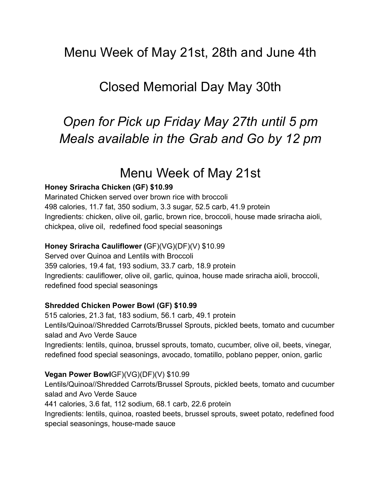## Menu Week of May 21st, 28th and June 4th

## Closed Memorial Day May 30th

# *Open for Pick up Friday May 27th until 5 pm Meals available in the Grab and Go by 12 pm*

## Menu Week of May 21st

## **Honey Sriracha Chicken (GF) \$10.99**

Marinated Chicken served over brown rice with broccoli 498 calories, 11.7 fat, 350 sodium, 3.3 sugar, 52.5 carb, 41.9 protein Ingredients: chicken, olive oil, garlic, brown rice, broccoli, house made sriracha aioli, chickpea, olive oil, redefined food special seasonings

## **Honey Sriracha Cauliflower (**GF)(VG)(DF)(V) \$10.99

Served over Quinoa and Lentils with Broccoli 359 calories, 19.4 fat, 193 sodium, 33.7 carb, 18.9 protein Ingredients: cauliflower, olive oil, garlic, quinoa, house made sriracha aioli, broccoli, redefined food special seasonings

#### **Shredded Chicken Power Bowl (GF) \$10.99**

515 calories, 21.3 fat, 183 sodium, 56.1 carb, 49.1 protein Lentils/Quinoa//Shredded Carrots/Brussel Sprouts, pickled beets, tomato and cucumber salad and Avo Verde Sauce Ingredients: lentils, quinoa, brussel sprouts, tomato, cucumber, olive oil, beets, vinegar,

redefined food special seasonings, avocado, tomatillo, poblano pepper, onion, garlic

## **Vegan Power Bowl**GF)(VG)(DF)(V) \$10.99

Lentils/Quinoa//Shredded Carrots/Brussel Sprouts, pickled beets, tomato and cucumber salad and Avo Verde Sauce

441 calories, 3.6 fat, 112 sodium, 68.1 carb, 22.6 protein

Ingredients: lentils, quinoa, roasted beets, brussel sprouts, sweet potato, redefined food special seasonings, house-made sauce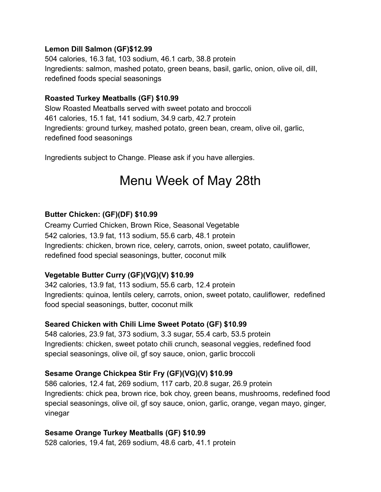### **Lemon Dill Salmon (GF)\$12.99**

504 calories, 16.3 fat, 103 sodium, 46.1 carb, 38.8 protein Ingredients: salmon, mashed potato, green beans, basil, garlic, onion, olive oil, dill, redefined foods special seasonings

#### **Roasted Turkey Meatballs (GF) \$10.99**

Slow Roasted Meatballs served with sweet potato and broccoli 461 calories, 15.1 fat, 141 sodium, 34.9 carb, 42.7 protein Ingredients: ground turkey, mashed potato, green bean, cream, olive oil, garlic, redefined food seasonings

Ingredients subject to Change. Please ask if you have allergies.

## Menu Week of May 28th

## **Butter Chicken: (GF)(DF) \$10.99**

Creamy Curried Chicken, Brown Rice, Seasonal Vegetable 542 calories, 13.9 fat, 113 sodium, 55.6 carb, 48.1 protein Ingredients: chicken, brown rice, celery, carrots, onion, sweet potato, cauliflower, redefined food special seasonings, butter, coconut milk

#### **Vegetable Butter Curry (GF)(VG)(V) \$10.99**

342 calories, 13.9 fat, 113 sodium, 55.6 carb, 12.4 protein Ingredients: quinoa, lentils celery, carrots, onion, sweet potato, cauliflower, redefined food special seasonings, butter, coconut milk

#### **Seared Chicken with Chili Lime Sweet Potato (GF) \$10.99**

548 calories, 23.9 fat, 373 sodium, 3.3 sugar, 55.4 carb, 53.5 protein Ingredients: chicken, sweet potato chili crunch, seasonal veggies, redefined food special seasonings, olive oil, gf soy sauce, onion, garlic broccoli

## **Sesame Orange Chickpea Stir Fry (GF)(VG)(V) \$10.99**

586 calories, 12.4 fat, 269 sodium, 117 carb, 20.8 sugar, 26.9 protein Ingredients: chick pea, brown rice, bok choy, green beans, mushrooms, redefined food special seasonings, olive oil, gf soy sauce, onion, garlic, orange, vegan mayo, ginger, vinegar

#### **Sesame Orange Turkey Meatballs (GF) \$10.99**

528 calories, 19.4 fat, 269 sodium, 48.6 carb, 41.1 protein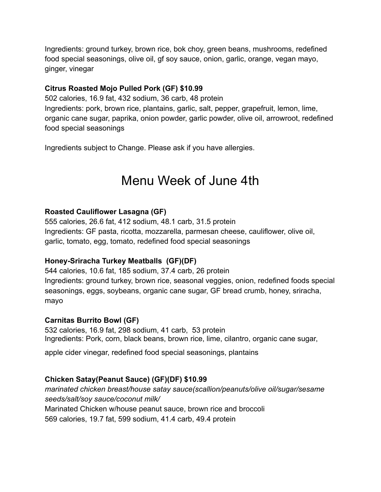Ingredients: ground turkey, brown rice, bok choy, green beans, mushrooms, redefined food special seasonings, olive oil, gf soy sauce, onion, garlic, orange, vegan mayo, ginger, vinegar

### **Citrus Roasted Mojo Pulled Pork (GF) \$10.99**

502 calories, 16.9 fat, 432 sodium, 36 carb, 48 protein Ingredients: pork, brown rice, plantains, garlic, salt, pepper, grapefruit, lemon, lime, organic cane sugar, paprika, onion powder, garlic powder, olive oil, arrowroot, redefined food special seasonings

Ingredients subject to Change. Please ask if you have allergies.

## Menu Week of June 4th

#### **Roasted Cauliflower Lasagna (GF)**

555 calories, 26.6 fat, 412 sodium, 48.1 carb, 31.5 protein Ingredients: GF pasta, ricotta, mozzarella, parmesan cheese, cauliflower, olive oil, garlic, tomato, egg, tomato, redefined food special seasonings

## **Honey-Sriracha Turkey Meatballs (GF)(DF)**

544 calories, 10.6 fat, 185 sodium, 37.4 carb, 26 protein Ingredients: ground turkey, brown rice, seasonal veggies, onion, redefined foods special seasonings, eggs, soybeans, organic cane sugar, GF bread crumb, honey, sriracha, mayo

#### **Carnitas Burrito Bowl (GF)**

532 calories, 16.9 fat, 298 sodium, 41 carb, 53 protein Ingredients: Pork, corn, black beans, brown rice, lime, cilantro, organic cane sugar,

apple cider vinegar, redefined food special seasonings, plantains

## **Chicken Satay(Peanut Sauce) (GF)(DF) \$10.99**

*marinated chicken breast/house satay sauce(scallion/peanuts/olive oil/sugar/sesame seeds/salt/soy sauce/coconut milk/* Marinated Chicken w/house peanut sauce, brown rice and broccoli

569 calories, 19.7 fat, 599 sodium, 41.4 carb, 49.4 protein